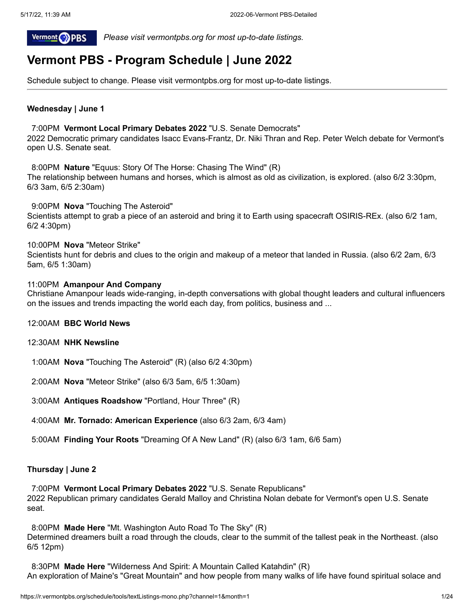

 *Please visit vermontpbs.org for most up-to-date listings.*

# **Vermont PBS - Program Schedule | June 2022**

Schedule subject to change. Please visit vermontpbs.org for most up-to-date listings.

# **Wednesday | June 1**

# 7:00PM **Vermont Local Primary Debates 2022** "U.S. Senate Democrats"

2022 Democratic primary candidates Isacc Evans-Frantz, Dr. Niki Thran and Rep. Peter Welch debate for Vermont's open U.S. Senate seat.

8:00PM **Nature** "Equus: Story Of The Horse: Chasing The Wind" (R) The relationship between humans and horses, which is almost as old as civilization, is explored. (also 6/2 3:30pm, 6/3 3am, 6/5 2:30am)

9:00PM **Nova** "Touching The Asteroid" Scientists attempt to grab a piece of an asteroid and bring it to Earth using spacecraft OSIRIS-REx. (also 6/2 1am, 6/2 4:30pm)

# 10:00PM **Nova** "Meteor Strike"

Scientists hunt for debris and clues to the origin and makeup of a meteor that landed in Russia. (also 6/2 2am, 6/3 5am, 6/5 1:30am)

# 11:00PM **Amanpour And Company**

Christiane Amanpour leads wide-ranging, in-depth conversations with global thought leaders and cultural influencers on the issues and trends impacting the world each day, from politics, business and ...

- 12:00AM **BBC World News**
- 12:30AM **NHK Newsline**
- 1:00AM **Nova** "Touching The Asteroid" (R) (also 6/2 4:30pm)
- 2:00AM **Nova** "Meteor Strike" (also 6/3 5am, 6/5 1:30am)
- 3:00AM **Antiques Roadshow** "Portland, Hour Three" (R)
- 4:00AM **Mr. Tornado: American Experience** (also 6/3 2am, 6/3 4am)
- 5:00AM **Finding Your Roots** "Dreaming Of A New Land" (R) (also 6/3 1am, 6/6 5am)

# **Thursday | June 2**

7:00PM **Vermont Local Primary Debates 2022** "U.S. Senate Republicans" 2022 Republican primary candidates Gerald Malloy and Christina Nolan debate for Vermont's open U.S. Senate seat.

8:00PM **Made Here** "Mt. Washington Auto Road To The Sky" (R) Determined dreamers built a road through the clouds, clear to the summit of the tallest peak in the Northeast. (also 6/5 12pm)

8:30PM **Made Here** "Wilderness And Spirit: A Mountain Called Katahdin" (R) An exploration of Maine's "Great Mountain" and how people from many walks of life have found spiritual solace and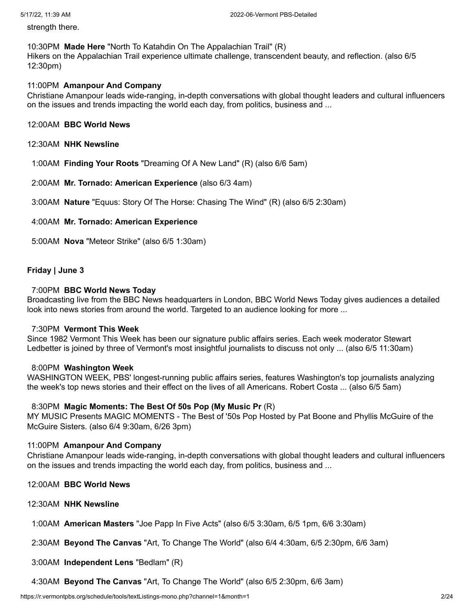strength there.

# 10:30PM **Made Here** "North To Katahdin On The Appalachian Trail" (R) Hikers on the Appalachian Trail experience ultimate challenge, transcendent beauty, and reflection. (also 6/5 12:30pm)

# 11:00PM **Amanpour And Company**

Christiane Amanpour leads wide-ranging, in-depth conversations with global thought leaders and cultural influencers on the issues and trends impacting the world each day, from politics, business and ...

# 12:00AM **BBC World News**

12:30AM **NHK Newsline**

1:00AM **Finding Your Roots** "Dreaming Of A New Land" (R) (also 6/6 5am)

2:00AM **Mr. Tornado: American Experience** (also 6/3 4am)

3:00AM **Nature** "Equus: Story Of The Horse: Chasing The Wind" (R) (also 6/5 2:30am)

# 4:00AM **Mr. Tornado: American Experience**

5:00AM **Nova** "Meteor Strike" (also 6/5 1:30am)

# **Friday | June 3**

### 7:00PM **BBC World News Today**

Broadcasting live from the BBC News headquarters in London, BBC World News Today gives audiences a detailed look into news stories from around the world. Targeted to an audience looking for more ...

#### 7:30PM **Vermont This Week**

Since 1982 Vermont This Week has been our signature public affairs series. Each week moderator Stewart Ledbetter is joined by three of Vermont's most insightful journalists to discuss not only ... (also 6/5 11:30am)

# 8:00PM **Washington Week**

WASHINGTON WEEK, PBS' longest-running public affairs series, features Washington's top journalists analyzing the week's top news stories and their effect on the lives of all Americans. Robert Costa ... (also 6/5 5am)

# 8:30PM **Magic Moments: The Best Of 50s Pop (My Music Pr** (R)

MY MUSIC Presents MAGIC MOMENTS - The Best of '50s Pop Hosted by Pat Boone and Phyllis McGuire of the McGuire Sisters. (also 6/4 9:30am, 6/26 3pm)

# 11:00PM **Amanpour And Company**

Christiane Amanpour leads wide-ranging, in-depth conversations with global thought leaders and cultural influencers on the issues and trends impacting the world each day, from politics, business and ...

- 12:00AM **BBC World News**
- 12:30AM **NHK Newsline**

1:00AM **American Masters** "Joe Papp In Five Acts" (also 6/5 3:30am, 6/5 1pm, 6/6 3:30am)

2:30AM **Beyond The Canvas** "Art, To Change The World" (also 6/4 4:30am, 6/5 2:30pm, 6/6 3am)

3:00AM **Independent Lens** "Bedlam" (R)

4:30AM **Beyond The Canvas** "Art, To Change The World" (also 6/5 2:30pm, 6/6 3am)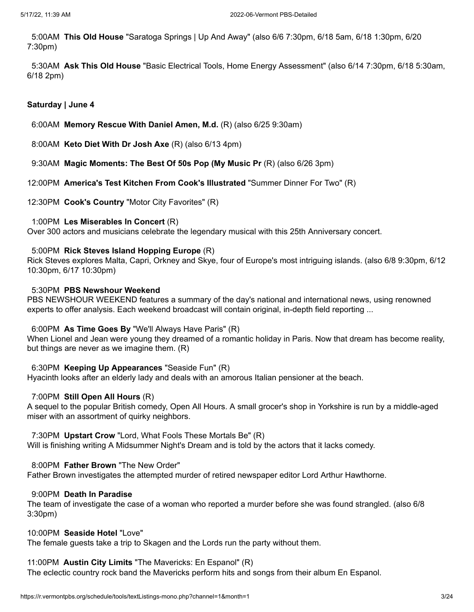5:00AM **This Old House** "Saratoga Springs | Up And Away" (also 6/6 7:30pm, 6/18 5am, 6/18 1:30pm, 6/20 7:30pm)

5:30AM **Ask This Old House** "Basic Electrical Tools, Home Energy Assessment" (also 6/14 7:30pm, 6/18 5:30am, 6/18 2pm)

# **Saturday | June 4**

6:00AM **Memory Rescue With Daniel Amen, M.d.** (R) (also 6/25 9:30am)

8:00AM **Keto Diet With Dr Josh Axe** (R) (also 6/13 4pm)

- 9:30AM **Magic Moments: The Best Of 50s Pop (My Music Pr** (R) (also 6/26 3pm)
- 12:00PM **America's Test Kitchen From Cook's Illustrated** "Summer Dinner For Two" (R)
- 12:30PM **Cook's Country** "Motor City Favorites" (R)

# 1:00PM **Les Miserables In Concert** (R)

Over 300 actors and musicians celebrate the legendary musical with this 25th Anniversary concert.

# 5:00PM **Rick Steves Island Hopping Europe** (R)

Rick Steves explores Malta, Capri, Orkney and Skye, four of Europe's most intriguing islands. (also 6/8 9:30pm, 6/12 10:30pm, 6/17 10:30pm)

# 5:30PM **PBS Newshour Weekend**

PBS NEWSHOUR WEEKEND features a summary of the day's national and international news, using renowned experts to offer analysis. Each weekend broadcast will contain original, in-depth field reporting ...

# 6:00PM **As Time Goes By** "We'll Always Have Paris" (R)

When Lionel and Jean were young they dreamed of a romantic holiday in Paris. Now that dream has become reality, but things are never as we imagine them. (R)

# 6:30PM **Keeping Up Appearances** "Seaside Fun" (R)

Hyacinth looks after an elderly lady and deals with an amorous Italian pensioner at the beach.

# 7:00PM **Still Open All Hours** (R)

A sequel to the popular British comedy, Open All Hours. A small grocer's shop in Yorkshire is run by a middle-aged miser with an assortment of quirky neighbors.

# 7:30PM **Upstart Crow** "Lord, What Fools These Mortals Be" (R)

Will is finishing writing A Midsummer Night's Dream and is told by the actors that it lacks comedy.

# 8:00PM **Father Brown** "The New Order"

Father Brown investigates the attempted murder of retired newspaper editor Lord Arthur Hawthorne.

# 9:00PM **Death In Paradise**

The team of investigate the case of a woman who reported a murder before she was found strangled. (also 6/8 3:30pm)

# 10:00PM **Seaside Hotel** "Love"

The female guests take a trip to Skagen and the Lords run the party without them.

# 11:00PM **Austin City Limits** "The Mavericks: En Espanol" (R)

The eclectic country rock band the Mavericks perform hits and songs from their album En Espanol.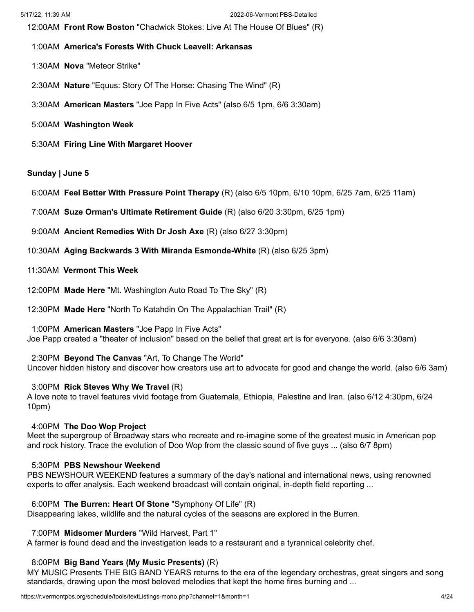12:00AM **Front Row Boston** "Chadwick Stokes: Live At The House Of Blues" (R)

- 1:00AM **America's Forests With Chuck Leavell: Arkansas**
- 1:30AM **Nova** "Meteor Strike"
- 2:30AM **Nature** "Equus: Story Of The Horse: Chasing The Wind" (R)
- 3:30AM **American Masters** "Joe Papp In Five Acts" (also 6/5 1pm, 6/6 3:30am)
- 5:00AM **Washington Week**
- 5:30AM **Firing Line With Margaret Hoover**

# **Sunday | June 5**

- 6:00AM **Feel Better With Pressure Point Therapy** (R) (also 6/5 10pm, 6/10 10pm, 6/25 7am, 6/25 11am)
- 7:00AM **Suze Orman's Ultimate Retirement Guide** (R) (also 6/20 3:30pm, 6/25 1pm)
- 9:00AM **Ancient Remedies With Dr Josh Axe** (R) (also 6/27 3:30pm)
- 10:30AM **Aging Backwards 3 With Miranda Esmonde-White** (R) (also 6/25 3pm)
- 11:30AM **Vermont This Week**
- 12:00PM **Made Here** "Mt. Washington Auto Road To The Sky" (R)
- 12:30PM **Made Here** "North To Katahdin On The Appalachian Trail" (R)

1:00PM **American Masters** "Joe Papp In Five Acts"

Joe Papp created a "theater of inclusion" based on the belief that great art is for everyone. (also 6/6 3:30am)

2:30PM **Beyond The Canvas** "Art, To Change The World"

Uncover hidden history and discover how creators use art to advocate for good and change the world. (also 6/6 3am)

# 3:00PM **Rick Steves Why We Travel** (R)

A love note to travel features vivid footage from Guatemala, Ethiopia, Palestine and Iran. (also 6/12 4:30pm, 6/24 10pm)

# 4:00PM **The Doo Wop Project**

Meet the supergroup of Broadway stars who recreate and re-imagine some of the greatest music in American pop and rock history. Trace the evolution of Doo Wop from the classic sound of five guys ... (also 6/7 8pm)

# 5:30PM **PBS Newshour Weekend**

PBS NEWSHOUR WEEKEND features a summary of the day's national and international news, using renowned experts to offer analysis. Each weekend broadcast will contain original, in-depth field reporting ...

# 6:00PM **The Burren: Heart Of Stone** "Symphony Of Life" (R)

Disappearing lakes, wildlife and the natural cycles of the seasons are explored in the Burren.

# 7:00PM **Midsomer Murders** "Wild Harvest, Part 1"

A farmer is found dead and the investigation leads to a restaurant and a tyrannical celebrity chef.

# 8:00PM **Big Band Years (My Music Presents)** (R)

MY MUSIC Presents THE BIG BAND YEARS returns to the era of the legendary orchestras, great singers and song standards, drawing upon the most beloved melodies that kept the home fires burning and ...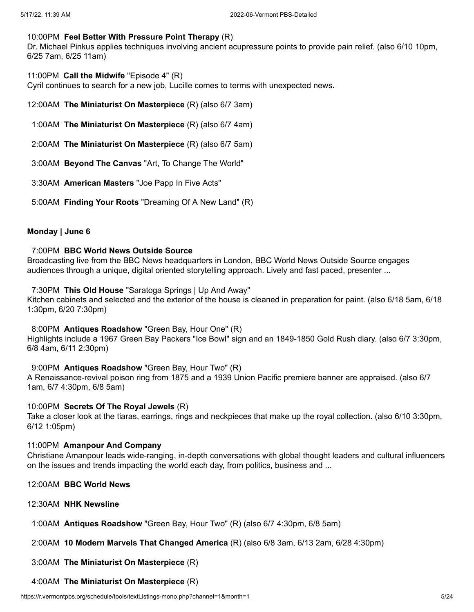# 10:00PM **Feel Better With Pressure Point Therapy** (R)

Dr. Michael Pinkus applies techniques involving ancient acupressure points to provide pain relief. (also 6/10 10pm, 6/25 7am, 6/25 11am)

11:00PM **Call the Midwife** "Episode 4" (R)

Cyril continues to search for a new job, Lucille comes to terms with unexpected news.

- 12:00AM **The Miniaturist On Masterpiece** (R) (also 6/7 3am)
- 1:00AM **The Miniaturist On Masterpiece** (R) (also 6/7 4am)
- 2:00AM **The Miniaturist On Masterpiece** (R) (also 6/7 5am)
- 3:00AM **Beyond The Canvas** "Art, To Change The World"
- 3:30AM **American Masters** "Joe Papp In Five Acts"
- 5:00AM **Finding Your Roots** "Dreaming Of A New Land" (R)

# **Monday | June 6**

# 7:00PM **BBC World News Outside Source**

Broadcasting live from the BBC News headquarters in London, BBC World News Outside Source engages audiences through a unique, digital oriented storytelling approach. Lively and fast paced, presenter ...

# 7:30PM **This Old House** "Saratoga Springs | Up And Away"

Kitchen cabinets and selected and the exterior of the house is cleaned in preparation for paint. (also 6/18 5am, 6/18 1:30pm, 6/20 7:30pm)

# 8:00PM **Antiques Roadshow** "Green Bay, Hour One" (R)

Highlights include a 1967 Green Bay Packers "Ice Bowl" sign and an 1849-1850 Gold Rush diary. (also 6/7 3:30pm, 6/8 4am, 6/11 2:30pm)

# 9:00PM **Antiques Roadshow** "Green Bay, Hour Two" (R)

A Renaissance-revival poison ring from 1875 and a 1939 Union Pacific premiere banner are appraised. (also 6/7 1am, 6/7 4:30pm, 6/8 5am)

# 10:00PM **Secrets Of The Royal Jewels** (R)

Take a closer look at the tiaras, earrings, rings and neckpieces that make up the royal collection. (also 6/10 3:30pm, 6/12 1:05pm)

# 11:00PM **Amanpour And Company**

Christiane Amanpour leads wide-ranging, in-depth conversations with global thought leaders and cultural influencers on the issues and trends impacting the world each day, from politics, business and ...

- 12:00AM **BBC World News**
- 12:30AM **NHK Newsline**

1:00AM **Antiques Roadshow** "Green Bay, Hour Two" (R) (also 6/7 4:30pm, 6/8 5am)

2:00AM **10 Modern Marvels That Changed America** (R) (also 6/8 3am, 6/13 2am, 6/28 4:30pm)

3:00AM **The Miniaturist On Masterpiece** (R)

# 4:00AM **The Miniaturist On Masterpiece** (R)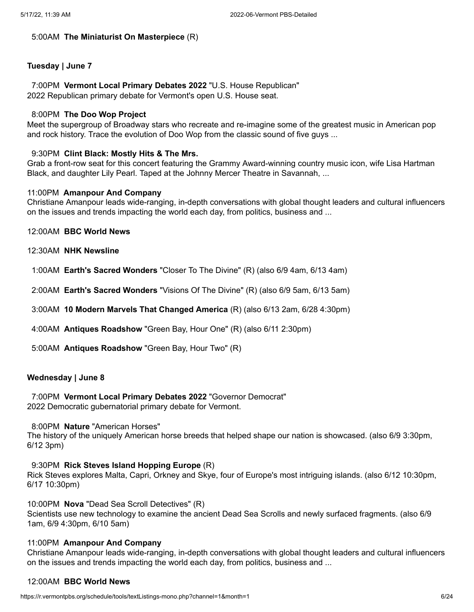# 5:00AM **The Miniaturist On Masterpiece** (R)

# **Tuesday | June 7**

7:00PM **Vermont Local Primary Debates 2022** "U.S. House Republican" 2022 Republican primary debate for Vermont's open U.S. House seat.

### 8:00PM **The Doo Wop Project**

Meet the supergroup of Broadway stars who recreate and re-imagine some of the greatest music in American pop and rock history. Trace the evolution of Doo Wop from the classic sound of five guys ...

### 9:30PM **Clint Black: Mostly Hits & The Mrs.**

Grab a front-row seat for this concert featuring the Grammy Award-winning country music icon, wife Lisa Hartman Black, and daughter Lily Pearl. Taped at the Johnny Mercer Theatre in Savannah, ...

#### 11:00PM **Amanpour And Company**

Christiane Amanpour leads wide-ranging, in-depth conversations with global thought leaders and cultural influencers on the issues and trends impacting the world each day, from politics, business and ...

12:00AM **BBC World News**

12:30AM **NHK Newsline**

1:00AM **Earth's Sacred Wonders** "Closer To The Divine" (R) (also 6/9 4am, 6/13 4am)

2:00AM **Earth's Sacred Wonders** "Visions Of The Divine" (R) (also 6/9 5am, 6/13 5am)

3:00AM **10 Modern Marvels That Changed America** (R) (also 6/13 2am, 6/28 4:30pm)

- 4:00AM **Antiques Roadshow** "Green Bay, Hour One" (R) (also 6/11 2:30pm)
- 5:00AM **Antiques Roadshow** "Green Bay, Hour Two" (R)

# **Wednesday | June 8**

7:00PM **Vermont Local Primary Debates 2022** "Governor Democrat" 2022 Democratic gubernatorial primary debate for Vermont.

#### 8:00PM **Nature** "American Horses"

The history of the uniquely American horse breeds that helped shape our nation is showcased. (also 6/9 3:30pm, 6/12 3pm)

### 9:30PM **Rick Steves Island Hopping Europe** (R)

Rick Steves explores Malta, Capri, Orkney and Skye, four of Europe's most intriguing islands. (also 6/12 10:30pm, 6/17 10:30pm)

10:00PM **Nova** "Dead Sea Scroll Detectives" (R)

Scientists use new technology to examine the ancient Dead Sea Scrolls and newly surfaced fragments. (also 6/9 1am, 6/9 4:30pm, 6/10 5am)

### 11:00PM **Amanpour And Company**

Christiane Amanpour leads wide-ranging, in-depth conversations with global thought leaders and cultural influencers on the issues and trends impacting the world each day, from politics, business and ...

# 12:00AM **BBC World News**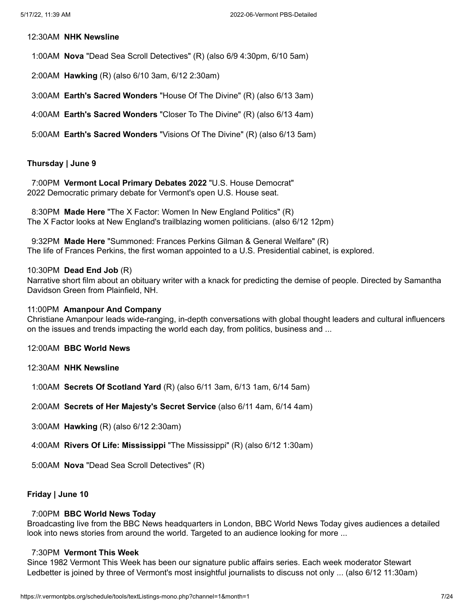#### 12:30AM **NHK Newsline**

- 1:00AM **Nova** "Dead Sea Scroll Detectives" (R) (also 6/9 4:30pm, 6/10 5am)
- 2:00AM **Hawking** (R) (also 6/10 3am, 6/12 2:30am)
- 3:00AM **Earth's Sacred Wonders** "House Of The Divine" (R) (also 6/13 3am)
- 4:00AM **Earth's Sacred Wonders** "Closer To The Divine" (R) (also 6/13 4am)
- 5:00AM **Earth's Sacred Wonders** "Visions Of The Divine" (R) (also 6/13 5am)

### **Thursday | June 9**

7:00PM **Vermont Local Primary Debates 2022** "U.S. House Democrat" 2022 Democratic primary debate for Vermont's open U.S. House seat.

8:30PM **Made Here** "The X Factor: Women In New England Politics" (R) The X Factor looks at New England's trailblazing women politicians. (also 6/12 12pm)

9:32PM **Made Here** "Summoned: Frances Perkins Gilman & General Welfare" (R) The life of Frances Perkins, the first woman appointed to a U.S. Presidential cabinet, is explored.

#### 10:30PM **Dead End Job** (R)

Narrative short film about an obituary writer with a knack for predicting the demise of people. Directed by Samantha Davidson Green from Plainfield, NH.

### 11:00PM **Amanpour And Company**

Christiane Amanpour leads wide-ranging, in-depth conversations with global thought leaders and cultural influencers on the issues and trends impacting the world each day, from politics, business and ...

- 12:00AM **BBC World News**
- 12:30AM **NHK Newsline**
- 1:00AM **Secrets Of Scotland Yard** (R) (also 6/11 3am, 6/13 1am, 6/14 5am)
- 2:00AM **Secrets of Her Majesty's Secret Service** (also 6/11 4am, 6/14 4am)
- 3:00AM **Hawking** (R) (also 6/12 2:30am)
- 4:00AM **Rivers Of Life: Mississippi** "The Mississippi" (R) (also 6/12 1:30am)
- 5:00AM **Nova** "Dead Sea Scroll Detectives" (R)

# **Friday | June 10**

### 7:00PM **BBC World News Today**

Broadcasting live from the BBC News headquarters in London, BBC World News Today gives audiences a detailed look into news stories from around the world. Targeted to an audience looking for more ...

# 7:30PM **Vermont This Week**

Since 1982 Vermont This Week has been our signature public affairs series. Each week moderator Stewart Ledbetter is joined by three of Vermont's most insightful journalists to discuss not only ... (also 6/12 11:30am)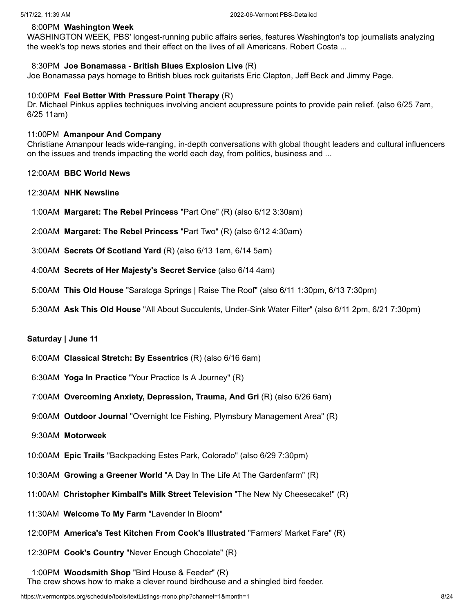# 8:00PM **Washington Week**

WASHINGTON WEEK, PBS' longest-running public affairs series, features Washington's top journalists analyzing the week's top news stories and their effect on the lives of all Americans. Robert Costa ...

# 8:30PM **Joe Bonamassa - British Blues Explosion Live** (R)

Joe Bonamassa pays homage to British blues rock guitarists Eric Clapton, Jeff Beck and Jimmy Page.

### 10:00PM **Feel Better With Pressure Point Therapy** (R)

Dr. Michael Pinkus applies techniques involving ancient acupressure points to provide pain relief. (also 6/25 7am, 6/25 11am)

#### 11:00PM **Amanpour And Company**

Christiane Amanpour leads wide-ranging, in-depth conversations with global thought leaders and cultural influencers on the issues and trends impacting the world each day, from politics, business and ...

### 12:00AM **BBC World News**

- 12:30AM **NHK Newsline**
- 1:00AM **Margaret: The Rebel Princess** "Part One" (R) (also 6/12 3:30am)
- 2:00AM **Margaret: The Rebel Princess** "Part Two" (R) (also 6/12 4:30am)
- 3:00AM **Secrets Of Scotland Yard** (R) (also 6/13 1am, 6/14 5am)
- 4:00AM **Secrets of Her Majesty's Secret Service** (also 6/14 4am)
- 5:00AM **This Old House** "Saratoga Springs | Raise The Roof" (also 6/11 1:30pm, 6/13 7:30pm)
- 5:30AM **Ask This Old House** "All About Succulents, Under-Sink Water Filter" (also 6/11 2pm, 6/21 7:30pm)

### **Saturday | June 11**

- 6:00AM **Classical Stretch: By Essentrics** (R) (also 6/16 6am)
- 6:30AM **Yoga In Practice** "Your Practice Is A Journey" (R)
- 7:00AM **Overcoming Anxiety, Depression, Trauma, And Gri** (R) (also 6/26 6am)
- 9:00AM **Outdoor Journal** "Overnight Ice Fishing, Plymsbury Management Area" (R)
- 9:30AM **Motorweek**
- 10:00AM **Epic Trails** "Backpacking Estes Park, Colorado" (also 6/29 7:30pm)
- 10:30AM **Growing a Greener World** "A Day In The Life At The Gardenfarm" (R)
- 11:00AM **Christopher Kimball's Milk Street Television** "The New Ny Cheesecake!" (R)
- 11:30AM **Welcome To My Farm** "Lavender In Bloom"
- 12:00PM **America's Test Kitchen From Cook's Illustrated** "Farmers' Market Fare" (R)
- 12:30PM **Cook's Country** "Never Enough Chocolate" (R)
- 1:00PM **Woodsmith Shop** "Bird House & Feeder" (R)
- The crew shows how to make a clever round birdhouse and a shingled bird feeder.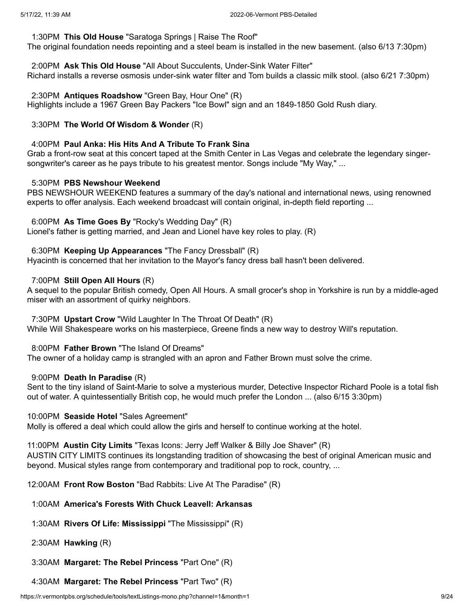### 1:30PM **This Old House** "Saratoga Springs | Raise The Roof"

The original foundation needs repointing and a steel beam is installed in the new basement. (also 6/13 7:30pm)

2:00PM **Ask This Old House** "All About Succulents, Under-Sink Water Filter" Richard installs a reverse osmosis under-sink water filter and Tom builds a classic milk stool. (also 6/21 7:30pm)

2:30PM **Antiques Roadshow** "Green Bay, Hour One" (R)

Highlights include a 1967 Green Bay Packers "Ice Bowl" sign and an 1849-1850 Gold Rush diary.

# 3:30PM **The World Of Wisdom & Wonder** (R)

### 4:00PM **Paul Anka: His Hits And A Tribute To Frank Sina**

Grab a front-row seat at this concert taped at the Smith Center in Las Vegas and celebrate the legendary singersongwriter's career as he pays tribute to his greatest mentor. Songs include "My Way," ...

# 5:30PM **PBS Newshour Weekend**

PBS NEWSHOUR WEEKEND features a summary of the day's national and international news, using renowned experts to offer analysis. Each weekend broadcast will contain original, in-depth field reporting ...

6:00PM **As Time Goes By** "Rocky's Wedding Day" (R)

Lionel's father is getting married, and Jean and Lionel have key roles to play. (R)

6:30PM **Keeping Up Appearances** "The Fancy Dressball" (R)

Hyacinth is concerned that her invitation to the Mayor's fancy dress ball hasn't been delivered.

# 7:00PM **Still Open All Hours** (R)

A sequel to the popular British comedy, Open All Hours. A small grocer's shop in Yorkshire is run by a middle-aged miser with an assortment of quirky neighbors.

### 7:30PM **Upstart Crow** "Wild Laughter In The Throat Of Death" (R)

While Will Shakespeare works on his masterpiece, Greene finds a new way to destroy Will's reputation.

# 8:00PM **Father Brown** "The Island Of Dreams"

The owner of a holiday camp is strangled with an apron and Father Brown must solve the crime.

# 9:00PM **Death In Paradise** (R)

Sent to the tiny island of Saint-Marie to solve a mysterious murder, Detective Inspector Richard Poole is a total fish out of water. A quintessentially British cop, he would much prefer the London ... (also 6/15 3:30pm)

#### 10:00PM **Seaside Hotel** "Sales Agreement"

Molly is offered a deal which could allow the girls and herself to continue working at the hotel.

### 11:00PM **Austin City Limits** "Texas Icons: Jerry Jeff Walker & Billy Joe Shaver" (R)

AUSTIN CITY LIMITS continues its longstanding tradition of showcasing the best of original American music and beyond. Musical styles range from contemporary and traditional pop to rock, country, ...

12:00AM **Front Row Boston** "Bad Rabbits: Live At The Paradise" (R)

# 1:00AM **America's Forests With Chuck Leavell: Arkansas**

1:30AM **Rivers Of Life: Mississippi** "The Mississippi" (R)

2:30AM **Hawking** (R)

3:30AM **Margaret: The Rebel Princess** "Part One" (R)

4:30AM **Margaret: The Rebel Princess** "Part Two" (R)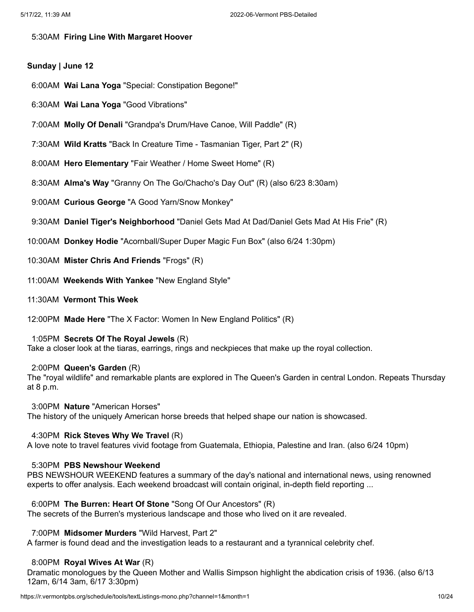# 5:30AM **Firing Line With Margaret Hoover**

# **Sunday | June 12**

- 6:00AM **Wai Lana Yoga** "Special: Constipation Begone!"
- 6:30AM **Wai Lana Yoga** "Good Vibrations"
- 7:00AM **Molly Of Denali** "Grandpa's Drum/Have Canoe, Will Paddle" (R)
- 7:30AM **Wild Kratts** "Back In Creature Time Tasmanian Tiger, Part 2" (R)
- 8:00AM **Hero Elementary** "Fair Weather / Home Sweet Home" (R)
- 8:30AM **Alma's Way** "Granny On The Go/Chacho's Day Out" (R) (also 6/23 8:30am)
- 9:00AM **Curious George** "A Good Yarn/Snow Monkey"
- 9:30AM **Daniel Tiger's Neighborhood** "Daniel Gets Mad At Dad/Daniel Gets Mad At His Frie" (R)
- 10:00AM **Donkey Hodie** "Acornball/Super Duper Magic Fun Box" (also 6/24 1:30pm)
- 10:30AM **Mister Chris And Friends** "Frogs" (R)
- 11:00AM **Weekends With Yankee** "New England Style"
- 11:30AM **Vermont This Week**
- 12:00PM **Made Here** "The X Factor: Women In New England Politics" (R)

# 1:05PM **Secrets Of The Royal Jewels** (R)

Take a closer look at the tiaras, earrings, rings and neckpieces that make up the royal collection.

# 2:00PM **Queen's Garden** (R)

The "royal wildlife" and remarkable plants are explored in The Queen's Garden in central London. Repeats Thursday at 8 p.m.

#### 3:00PM **Nature** "American Horses"

The history of the uniquely American horse breeds that helped shape our nation is showcased.

# 4:30PM **Rick Steves Why We Travel** (R)

A love note to travel features vivid footage from Guatemala, Ethiopia, Palestine and Iran. (also 6/24 10pm)

# 5:30PM **PBS Newshour Weekend**

PBS NEWSHOUR WEEKEND features a summary of the day's national and international news, using renowned experts to offer analysis. Each weekend broadcast will contain original, in-depth field reporting ...

# 6:00PM **The Burren: Heart Of Stone** "Song Of Our Ancestors" (R)

The secrets of the Burren's mysterious landscape and those who lived on it are revealed.

# 7:00PM **Midsomer Murders** "Wild Harvest, Part 2"

A farmer is found dead and the investigation leads to a restaurant and a tyrannical celebrity chef.

# 8:00PM **Royal Wives At War** (R)

Dramatic monologues by the Queen Mother and Wallis Simpson highlight the abdication crisis of 1936. (also 6/13 12am, 6/14 3am, 6/17 3:30pm)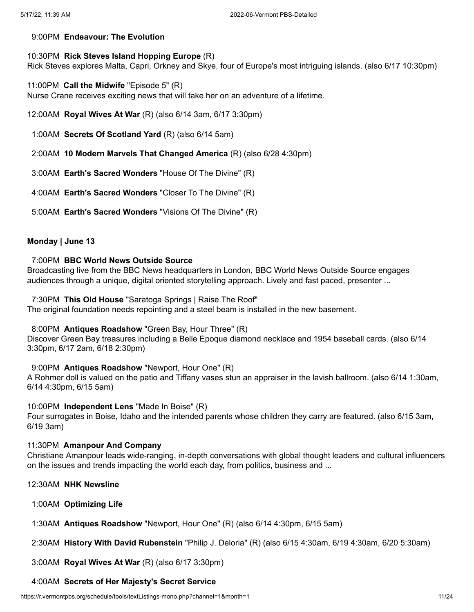# 9:00PM **Endeavour: The Evolution**

# 10:30PM **Rick Steves Island Hopping Europe** (R)

Rick Steves explores Malta, Capri, Orkney and Skye, four of Europe's most intriguing islands. (also 6/17 10:30pm)

11:00PM **Call the Midwife** "Episode 5" (R)

Nurse Crane receives exciting news that will take her on an adventure of a lifetime.

12:00AM **Royal Wives At War** (R) (also 6/14 3am, 6/17 3:30pm)

1:00AM **Secrets Of Scotland Yard** (R) (also 6/14 5am)

2:00AM **10 Modern Marvels That Changed America** (R) (also 6/28 4:30pm)

3:00AM **Earth's Sacred Wonders** "House Of The Divine" (R)

4:00AM **Earth's Sacred Wonders** "Closer To The Divine" (R)

5:00AM **Earth's Sacred Wonders** "Visions Of The Divine" (R)

# **Monday | June 13**

# 7:00PM **BBC World News Outside Source**

Broadcasting live from the BBC News headquarters in London, BBC World News Outside Source engages audiences through a unique, digital oriented storytelling approach. Lively and fast paced, presenter ...

7:30PM **This Old House** "Saratoga Springs | Raise The Roof"

The original foundation needs repointing and a steel beam is installed in the new basement.

# 8:00PM **Antiques Roadshow** "Green Bay, Hour Three" (R)

Discover Green Bay treasures including a Belle Epoque diamond necklace and 1954 baseball cards. (also 6/14 3:30pm, 6/17 2am, 6/18 2:30pm)

# 9:00PM **Antiques Roadshow** "Newport, Hour One" (R)

A Rohmer doll is valued on the patio and Tiffany vases stun an appraiser in the lavish ballroom. (also 6/14 1:30am, 6/14 4:30pm, 6/15 5am)

# 10:00PM **Independent Lens** "Made In Boise" (R)

Four surrogates in Boise, Idaho and the intended parents whose children they carry are featured. (also 6/15 3am, 6/19 3am)

# 11:30PM **Amanpour And Company**

Christiane Amanpour leads wide-ranging, in-depth conversations with global thought leaders and cultural influencers on the issues and trends impacting the world each day, from politics, business and ...

- 12:30AM **NHK Newsline**
- 1:00AM **Optimizing Life**

1:30AM **Antiques Roadshow** "Newport, Hour One" (R) (also 6/14 4:30pm, 6/15 5am)

2:30AM **History With David Rubenstein** "Philip J. Deloria" (R) (also 6/15 4:30am, 6/19 4:30am, 6/20 5:30am)

3:00AM **Royal Wives At War** (R) (also 6/17 3:30pm)

# 4:00AM **Secrets of Her Majesty's Secret Service**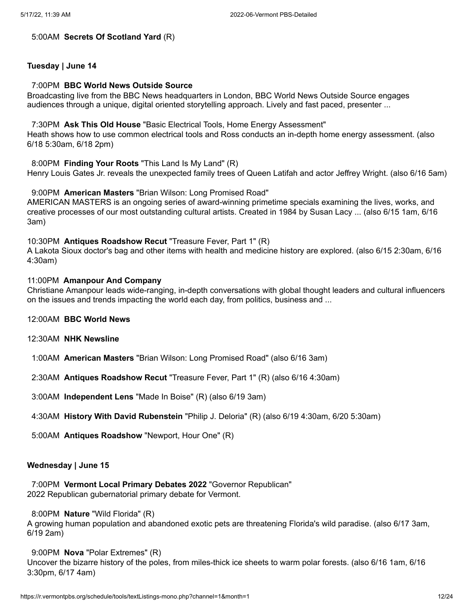#### 5:00AM **Secrets Of Scotland Yard** (R)

# **Tuesday | June 14**

### 7:00PM **BBC World News Outside Source**

Broadcasting live from the BBC News headquarters in London, BBC World News Outside Source engages audiences through a unique, digital oriented storytelling approach. Lively and fast paced, presenter ...

### 7:30PM **Ask This Old House** "Basic Electrical Tools, Home Energy Assessment"

Heath shows how to use common electrical tools and Ross conducts an in-depth home energy assessment. (also 6/18 5:30am, 6/18 2pm)

8:00PM **Finding Your Roots** "This Land Is My Land" (R)

Henry Louis Gates Jr. reveals the unexpected family trees of Queen Latifah and actor Jeffrey Wright. (also 6/16 5am)

### 9:00PM **American Masters** "Brian Wilson: Long Promised Road"

AMERICAN MASTERS is an ongoing series of award-winning primetime specials examining the lives, works, and creative processes of our most outstanding cultural artists. Created in 1984 by Susan Lacy ... (also 6/15 1am, 6/16 3am)

# 10:30PM **Antiques Roadshow Recut** "Treasure Fever, Part 1" (R)

A Lakota Sioux doctor's bag and other items with health and medicine history are explored. (also 6/15 2:30am, 6/16 4:30am)

### 11:00PM **Amanpour And Company**

Christiane Amanpour leads wide-ranging, in-depth conversations with global thought leaders and cultural influencers on the issues and trends impacting the world each day, from politics, business and ...

- 12:00AM **BBC World News**
- 12:30AM **NHK Newsline**
- 1:00AM **American Masters** "Brian Wilson: Long Promised Road" (also 6/16 3am)
- 2:30AM **Antiques Roadshow Recut** "Treasure Fever, Part 1" (R) (also 6/16 4:30am)
- 3:00AM **Independent Lens** "Made In Boise" (R) (also 6/19 3am)
- 4:30AM **History With David Rubenstein** "Philip J. Deloria" (R) (also 6/19 4:30am, 6/20 5:30am)
- 5:00AM **Antiques Roadshow** "Newport, Hour One" (R)

# **Wednesday | June 15**

7:00PM **Vermont Local Primary Debates 2022** "Governor Republican" 2022 Republican gubernatorial primary debate for Vermont.

8:00PM **Nature** "Wild Florida" (R)

A growing human population and abandoned exotic pets are threatening Florida's wild paradise. (also 6/17 3am, 6/19 2am)

9:00PM **Nova** "Polar Extremes" (R)

Uncover the bizarre history of the poles, from miles-thick ice sheets to warm polar forests. (also 6/16 1am, 6/16 3:30pm, 6/17 4am)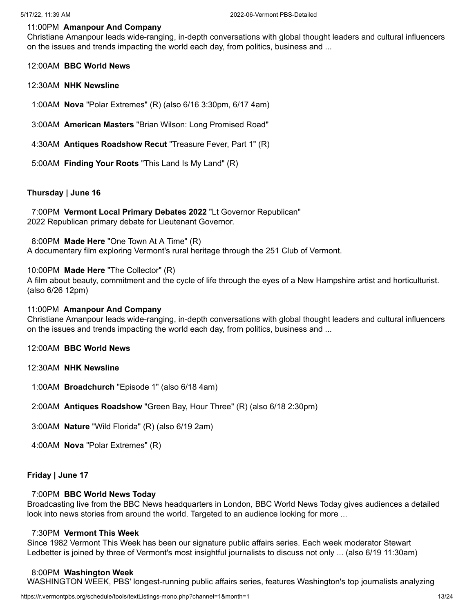# 11:00PM **Amanpour And Company**

Christiane Amanpour leads wide-ranging, in-depth conversations with global thought leaders and cultural influencers on the issues and trends impacting the world each day, from politics, business and ...

#### 12:00AM **BBC World News**

#### 12:30AM **NHK Newsline**

1:00AM **Nova** "Polar Extremes" (R) (also 6/16 3:30pm, 6/17 4am)

- 3:00AM **American Masters** "Brian Wilson: Long Promised Road"
- 4:30AM **Antiques Roadshow Recut** "Treasure Fever, Part 1" (R)
- 5:00AM **Finding Your Roots** "This Land Is My Land" (R)

### **Thursday | June 16**

7:00PM **Vermont Local Primary Debates 2022** "Lt Governor Republican" 2022 Republican primary debate for Lieutenant Governor.

8:00PM **Made Here** "One Town At A Time" (R)

A documentary film exploring Vermont's rural heritage through the 251 Club of Vermont.

#### 10:00PM **Made Here** "The Collector" (R)

A film about beauty, commitment and the cycle of life through the eyes of a New Hampshire artist and horticulturist. (also 6/26 12pm)

### 11:00PM **Amanpour And Company**

Christiane Amanpour leads wide-ranging, in-depth conversations with global thought leaders and cultural influencers on the issues and trends impacting the world each day, from politics, business and ...

- 12:00AM **BBC World News**
- 12:30AM **NHK Newsline**
- 1:00AM **Broadchurch** "Episode 1" (also 6/18 4am)
- 2:00AM **Antiques Roadshow** "Green Bay, Hour Three" (R) (also 6/18 2:30pm)
- 3:00AM **Nature** "Wild Florida" (R) (also 6/19 2am)
- 4:00AM **Nova** "Polar Extremes" (R)

### **Friday | June 17**

### 7:00PM **BBC World News Today**

Broadcasting live from the BBC News headquarters in London, BBC World News Today gives audiences a detailed look into news stories from around the world. Targeted to an audience looking for more ...

### 7:30PM **Vermont This Week**

Since 1982 Vermont This Week has been our signature public affairs series. Each week moderator Stewart Ledbetter is joined by three of Vermont's most insightful journalists to discuss not only ... (also 6/19 11:30am)

#### 8:00PM **Washington Week**

WASHINGTON WEEK, PBS' longest-running public affairs series, features Washington's top journalists analyzing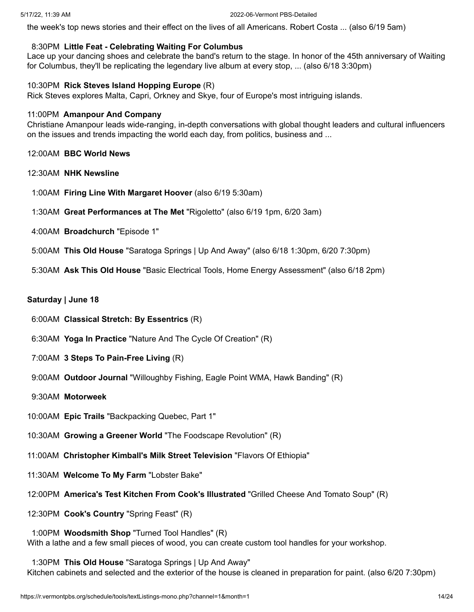the week's top news stories and their effect on the lives of all Americans. Robert Costa ... (also 6/19 5am)

### 8:30PM **Little Feat - Celebrating Waiting For Columbus**

Lace up your dancing shoes and celebrate the band's return to the stage. In honor of the 45th anniversary of Waiting for Columbus, they'll be replicating the legendary live album at every stop, ... (also 6/18 3:30pm)

#### 10:30PM **Rick Steves Island Hopping Europe** (R)

Rick Steves explores Malta, Capri, Orkney and Skye, four of Europe's most intriguing islands.

### 11:00PM **Amanpour And Company**

Christiane Amanpour leads wide-ranging, in-depth conversations with global thought leaders and cultural influencers on the issues and trends impacting the world each day, from politics, business and ...

# 12:00AM **BBC World News**

### 12:30AM **NHK Newsline**

- 1:00AM **Firing Line With Margaret Hoover** (also 6/19 5:30am)
- 1:30AM **Great Performances at The Met** "Rigoletto" (also 6/19 1pm, 6/20 3am)
- 4:00AM **Broadchurch** "Episode 1"
- 5:00AM **This Old House** "Saratoga Springs | Up And Away" (also 6/18 1:30pm, 6/20 7:30pm)
- 5:30AM **Ask This Old House** "Basic Electrical Tools, Home Energy Assessment" (also 6/18 2pm)

### **Saturday | June 18**

- 6:00AM **Classical Stretch: By Essentrics** (R)
- 6:30AM **Yoga In Practice** "Nature And The Cycle Of Creation" (R)
- 7:00AM **3 Steps To Pain-Free Living** (R)
- 9:00AM **Outdoor Journal** "Willoughby Fishing, Eagle Point WMA, Hawk Banding" (R)
- 9:30AM **Motorweek**
- 10:00AM **Epic Trails** "Backpacking Quebec, Part 1"
- 10:30AM **Growing a Greener World** "The Foodscape Revolution" (R)
- 11:00AM **Christopher Kimball's Milk Street Television** "Flavors Of Ethiopia"
- 11:30AM **Welcome To My Farm** "Lobster Bake"
- 12:00PM **America's Test Kitchen From Cook's Illustrated** "Grilled Cheese And Tomato Soup" (R)
- 12:30PM **Cook's Country** "Spring Feast" (R)

1:00PM **Woodsmith Shop** "Turned Tool Handles" (R) With a lathe and a few small pieces of wood, you can create custom tool handles for your workshop.

1:30PM **This Old House** "Saratoga Springs | Up And Away" Kitchen cabinets and selected and the exterior of the house is cleaned in preparation for paint. (also 6/20 7:30pm)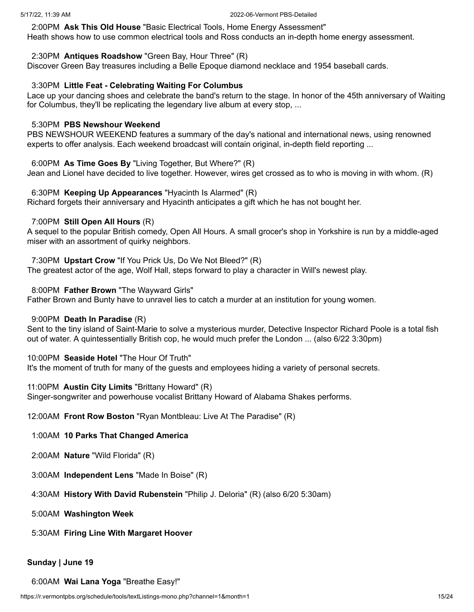2:00PM **Ask This Old House** "Basic Electrical Tools, Home Energy Assessment" Heath shows how to use common electrical tools and Ross conducts an in-depth home energy assessment.

# 2:30PM **Antiques Roadshow** "Green Bay, Hour Three" (R)

Discover Green Bay treasures including a Belle Epoque diamond necklace and 1954 baseball cards.

# 3:30PM **Little Feat - Celebrating Waiting For Columbus**

Lace up your dancing shoes and celebrate the band's return to the stage. In honor of the 45th anniversary of Waiting for Columbus, they'll be replicating the legendary live album at every stop, ...

# 5:30PM **PBS Newshour Weekend**

PBS NEWSHOUR WEEKEND features a summary of the day's national and international news, using renowned experts to offer analysis. Each weekend broadcast will contain original, in-depth field reporting ...

# 6:00PM **As Time Goes By** "Living Together, But Where?" (R)

Jean and Lionel have decided to live together. However, wires get crossed as to who is moving in with whom. (R)

# 6:30PM **Keeping Up Appearances** "Hyacinth Is Alarmed" (R)

Richard forgets their anniversary and Hyacinth anticipates a gift which he has not bought her.

# 7:00PM **Still Open All Hours** (R)

A sequel to the popular British comedy, Open All Hours. A small grocer's shop in Yorkshire is run by a middle-aged miser with an assortment of quirky neighbors.

# 7:30PM **Upstart Crow** "If You Prick Us, Do We Not Bleed?" (R)

The greatest actor of the age, Wolf Hall, steps forward to play a character in Will's newest play.

# 8:00PM **Father Brown** "The Wayward Girls"

Father Brown and Bunty have to unravel lies to catch a murder at an institution for young women.

# 9:00PM **Death In Paradise** (R)

Sent to the tiny island of Saint-Marie to solve a mysterious murder, Detective Inspector Richard Poole is a total fish out of water. A quintessentially British cop, he would much prefer the London ... (also 6/22 3:30pm)

# 10:00PM **Seaside Hotel** "The Hour Of Truth"

It's the moment of truth for many of the guests and employees hiding a variety of personal secrets.

# 11:00PM **Austin City Limits** "Brittany Howard" (R)

Singer-songwriter and powerhouse vocalist Brittany Howard of Alabama Shakes performs.

12:00AM **Front Row Boston** "Ryan Montbleau: Live At The Paradise" (R)

- 1:00AM **10 Parks That Changed America**
- 2:00AM **Nature** "Wild Florida" (R)
- 3:00AM **Independent Lens** "Made In Boise" (R)
- 4:30AM **History With David Rubenstein** "Philip J. Deloria" (R) (also 6/20 5:30am)
- 5:00AM **Washington Week**
- 5:30AM **Firing Line With Margaret Hoover**

# **Sunday | June 19**

6:00AM **Wai Lana Yoga** "Breathe Easy!"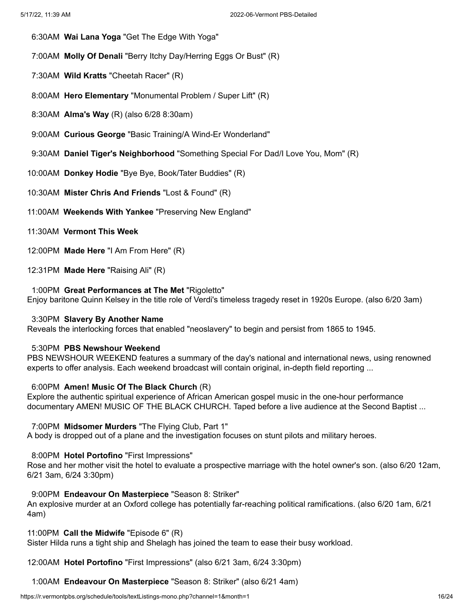- 6:30AM **Wai Lana Yoga** "Get The Edge With Yoga"
- 7:00AM **Molly Of Denali** "Berry Itchy Day/Herring Eggs Or Bust" (R)
- 7:30AM **Wild Kratts** "Cheetah Racer" (R)
- 8:00AM **Hero Elementary** "Monumental Problem / Super Lift" (R)
- 8:30AM **Alma's Way** (R) (also 6/28 8:30am)
- 9:00AM **Curious George** "Basic Training/A Wind-Er Wonderland"
- 9:30AM **Daniel Tiger's Neighborhood** "Something Special For Dad/I Love You, Mom" (R)
- 10:00AM **Donkey Hodie** "Bye Bye, Book/Tater Buddies" (R)
- 10:30AM **Mister Chris And Friends** "Lost & Found" (R)
- 11:00AM **Weekends With Yankee** "Preserving New England"
- 11:30AM **Vermont This Week**
- 12:00PM **Made Here** "I Am From Here" (R)
- 12:31PM **Made Here** "Raising Ali" (R)

#### 1:00PM **Great Performances at The Met** "Rigoletto"

Enjoy baritone Quinn Kelsey in the title role of Verdi's timeless tragedy reset in 1920s Europe. (also 6/20 3am)

#### 3:30PM **Slavery By Another Name**

Reveals the interlocking forces that enabled "neoslavery" to begin and persist from 1865 to 1945.

# 5:30PM **PBS Newshour Weekend**

PBS NEWSHOUR WEEKEND features a summary of the day's national and international news, using renowned experts to offer analysis. Each weekend broadcast will contain original, in-depth field reporting ...

### 6:00PM **Amen! Music Of The Black Church** (R)

Explore the authentic spiritual experience of African American gospel music in the one-hour performance documentary AMEN! MUSIC OF THE BLACK CHURCH. Taped before a live audience at the Second Baptist ...

#### 7:00PM **Midsomer Murders** "The Flying Club, Part 1"

A body is dropped out of a plane and the investigation focuses on stunt pilots and military heroes.

### 8:00PM **Hotel Portofino** "First Impressions"

Rose and her mother visit the hotel to evaluate a prospective marriage with the hotel owner's son. (also 6/20 12am, 6/21 3am, 6/24 3:30pm)

### 9:00PM **Endeavour On Masterpiece** "Season 8: Striker"

An explosive murder at an Oxford college has potentially far-reaching political ramifications. (also 6/20 1am, 6/21 4am)

### 11:00PM **Call the Midwife** "Episode 6" (R)

Sister Hilda runs a tight ship and Shelagh has joined the team to ease their busy workload.

12:00AM **Hotel Portofino** "First Impressions" (also 6/21 3am, 6/24 3:30pm)

1:00AM **Endeavour On Masterpiece** "Season 8: Striker" (also 6/21 4am)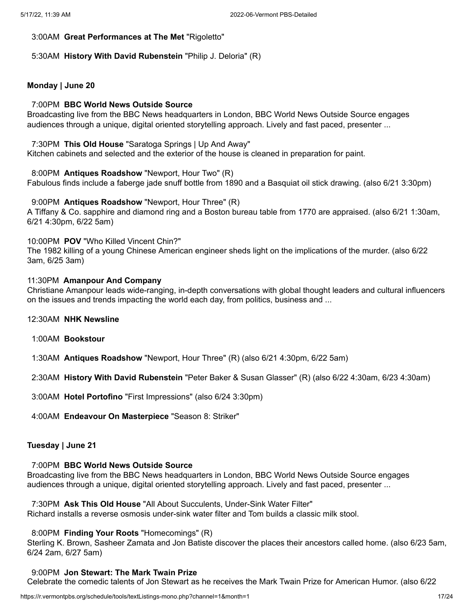# 3:00AM **Great Performances at The Met** "Rigoletto"

# 5:30AM **History With David Rubenstein** "Philip J. Deloria" (R)

# **Monday | June 20**

# 7:00PM **BBC World News Outside Source**

Broadcasting live from the BBC News headquarters in London, BBC World News Outside Source engages audiences through a unique, digital oriented storytelling approach. Lively and fast paced, presenter ...

### 7:30PM **This Old House** "Saratoga Springs | Up And Away"

Kitchen cabinets and selected and the exterior of the house is cleaned in preparation for paint.

### 8:00PM **Antiques Roadshow** "Newport, Hour Two" (R)

Fabulous finds include a faberge jade snuff bottle from 1890 and a Basquiat oil stick drawing. (also 6/21 3:30pm)

# 9:00PM **Antiques Roadshow** "Newport, Hour Three" (R)

A Tiffany & Co. sapphire and diamond ring and a Boston bureau table from 1770 are appraised. (also 6/21 1:30am, 6/21 4:30pm, 6/22 5am)

# 10:00PM **POV** "Who Killed Vincent Chin?"

The 1982 killing of a young Chinese American engineer sheds light on the implications of the murder. (also 6/22 3am, 6/25 3am)

### 11:30PM **Amanpour And Company**

Christiane Amanpour leads wide-ranging, in-depth conversations with global thought leaders and cultural influencers on the issues and trends impacting the world each day, from politics, business and ...

# 12:30AM **NHK Newsline**

- 1:00AM **Bookstour**
- 1:30AM **Antiques Roadshow** "Newport, Hour Three" (R) (also 6/21 4:30pm, 6/22 5am)

2:30AM **History With David Rubenstein** "Peter Baker & Susan Glasser" (R) (also 6/22 4:30am, 6/23 4:30am)

3:00AM **Hotel Portofino** "First Impressions" (also 6/24 3:30pm)

4:00AM **Endeavour On Masterpiece** "Season 8: Striker"

# **Tuesday | June 21**

### 7:00PM **BBC World News Outside Source**

Broadcasting live from the BBC News headquarters in London, BBC World News Outside Source engages audiences through a unique, digital oriented storytelling approach. Lively and fast paced, presenter ...

7:30PM **Ask This Old House** "All About Succulents, Under-Sink Water Filter" Richard installs a reverse osmosis under-sink water filter and Tom builds a classic milk stool.

#### 8:00PM **Finding Your Roots** "Homecomings" (R)

Sterling K. Brown, Sasheer Zamata and Jon Batiste discover the places their ancestors called home. (also 6/23 5am, 6/24 2am, 6/27 5am)

#### 9:00PM **Jon Stewart: The Mark Twain Prize**

Celebrate the comedic talents of Jon Stewart as he receives the Mark Twain Prize for American Humor. (also 6/22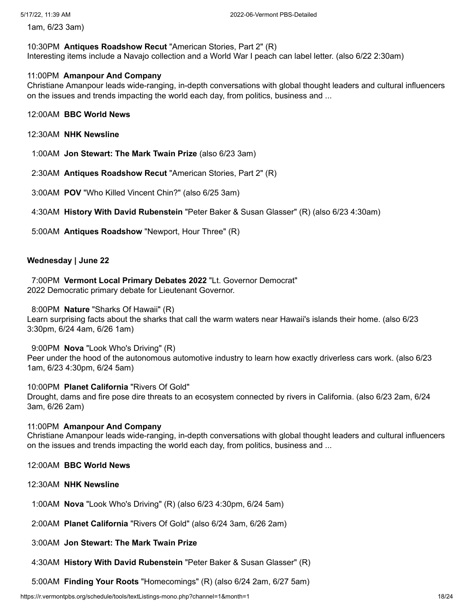1am, 6/23 3am)

#### 10:30PM **Antiques Roadshow Recut** "American Stories, Part 2" (R)

Interesting items include a Navajo collection and a World War I peach can label letter. (also 6/22 2:30am)

### 11:00PM **Amanpour And Company**

Christiane Amanpour leads wide-ranging, in-depth conversations with global thought leaders and cultural influencers on the issues and trends impacting the world each day, from politics, business and ...

# 12:00AM **BBC World News**

- 12:30AM **NHK Newsline**
- 1:00AM **Jon Stewart: The Mark Twain Prize** (also 6/23 3am)
- 2:30AM **Antiques Roadshow Recut** "American Stories, Part 2" (R)
- 3:00AM **POV** "Who Killed Vincent Chin?" (also 6/25 3am)
- 4:30AM **History With David Rubenstein** "Peter Baker & Susan Glasser" (R) (also 6/23 4:30am)
- 5:00AM **Antiques Roadshow** "Newport, Hour Three" (R)

### **Wednesday | June 22**

7:00PM **Vermont Local Primary Debates 2022** "Lt. Governor Democrat" 2022 Democratic primary debate for Lieutenant Governor.

### 8:00PM **Nature** "Sharks Of Hawaii" (R)

Learn surprising facts about the sharks that call the warm waters near Hawaii's islands their home. (also 6/23 3:30pm, 6/24 4am, 6/26 1am)

# 9:00PM **Nova** "Look Who's Driving" (R)

Peer under the hood of the autonomous automotive industry to learn how exactly driverless cars work. (also 6/23 1am, 6/23 4:30pm, 6/24 5am)

#### 10:00PM **Planet California** "Rivers Of Gold"

Drought, dams and fire pose dire threats to an ecosystem connected by rivers in California. (also 6/23 2am, 6/24 3am, 6/26 2am)

#### 11:00PM **Amanpour And Company**

Christiane Amanpour leads wide-ranging, in-depth conversations with global thought leaders and cultural influencers on the issues and trends impacting the world each day, from politics, business and ...

### 12:00AM **BBC World News**

- 12:30AM **NHK Newsline**
- 1:00AM **Nova** "Look Who's Driving" (R) (also 6/23 4:30pm, 6/24 5am)
- 2:00AM **Planet California** "Rivers Of Gold" (also 6/24 3am, 6/26 2am)

#### 3:00AM **Jon Stewart: The Mark Twain Prize**

- 4:30AM **History With David Rubenstein** "Peter Baker & Susan Glasser" (R)
- 5:00AM **Finding Your Roots** "Homecomings" (R) (also 6/24 2am, 6/27 5am)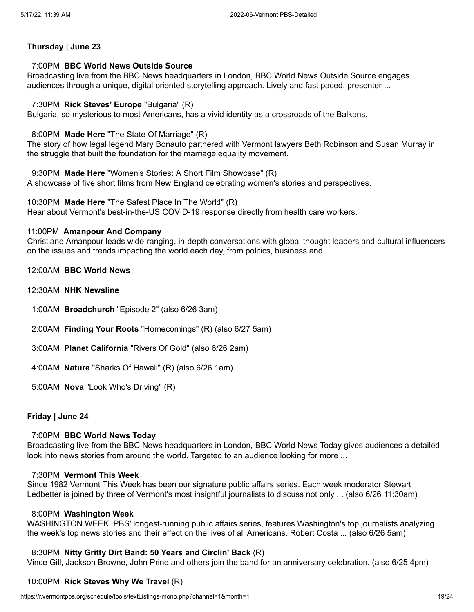# **Thursday | June 23**

# 7:00PM **BBC World News Outside Source**

Broadcasting live from the BBC News headquarters in London, BBC World News Outside Source engages audiences through a unique, digital oriented storytelling approach. Lively and fast paced, presenter ...

# 7:30PM **Rick Steves' Europe** "Bulgaria" (R)

Bulgaria, so mysterious to most Americans, has a vivid identity as a crossroads of the Balkans.

# 8:00PM **Made Here** "The State Of Marriage" (R)

The story of how legal legend Mary Bonauto partnered with Vermont lawyers Beth Robinson and Susan Murray in the struggle that built the foundation for the marriage equality movement.

9:30PM **Made Here** "Women's Stories: A Short Film Showcase" (R) A showcase of five short films from New England celebrating women's stories and perspectives.

10:30PM **Made Here** "The Safest Place In The World" (R) Hear about Vermont's best-in-the-US COVID-19 response directly from health care workers.

# 11:00PM **Amanpour And Company**

Christiane Amanpour leads wide-ranging, in-depth conversations with global thought leaders and cultural influencers on the issues and trends impacting the world each day, from politics, business and ...

- 12:00AM **BBC World News**
- 12:30AM **NHK Newsline**
- 1:00AM **Broadchurch** "Episode 2" (also 6/26 3am)
- 2:00AM **Finding Your Roots** "Homecomings" (R) (also 6/27 5am)
- 3:00AM **Planet California** "Rivers Of Gold" (also 6/26 2am)
- 4:00AM **Nature** "Sharks Of Hawaii" (R) (also 6/26 1am)
- 5:00AM **Nova** "Look Who's Driving" (R)

# **Friday | June 24**

#### 7:00PM **BBC World News Today**

Broadcasting live from the BBC News headquarters in London, BBC World News Today gives audiences a detailed look into news stories from around the world. Targeted to an audience looking for more ...

#### 7:30PM **Vermont This Week**

Since 1982 Vermont This Week has been our signature public affairs series. Each week moderator Stewart Ledbetter is joined by three of Vermont's most insightful journalists to discuss not only ... (also 6/26 11:30am)

# 8:00PM **Washington Week**

WASHINGTON WEEK, PBS' longest-running public affairs series, features Washington's top journalists analyzing the week's top news stories and their effect on the lives of all Americans. Robert Costa ... (also 6/26 5am)

# 8:30PM **Nitty Gritty Dirt Band: 50 Years and Circlin' Back** (R)

Vince Gill, Jackson Browne, John Prine and others join the band for an anniversary celebration. (also 6/25 4pm)

# 10:00PM **Rick Steves Why We Travel** (R)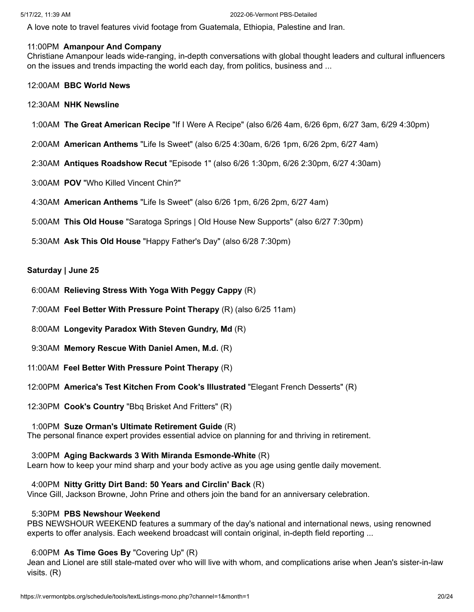A love note to travel features vivid footage from Guatemala, Ethiopia, Palestine and Iran.

# 11:00PM **Amanpour And Company**

Christiane Amanpour leads wide-ranging, in-depth conversations with global thought leaders and cultural influencers on the issues and trends impacting the world each day, from politics, business and ...

- 12:00AM **BBC World News**
- 12:30AM **NHK Newsline**
- 1:00AM **The Great American Recipe** "If I Were A Recipe" (also 6/26 4am, 6/26 6pm, 6/27 3am, 6/29 4:30pm)
- 2:00AM **American Anthems** "Life Is Sweet" (also 6/25 4:30am, 6/26 1pm, 6/26 2pm, 6/27 4am)
- 2:30AM **Antiques Roadshow Recut** "Episode 1" (also 6/26 1:30pm, 6/26 2:30pm, 6/27 4:30am)
- 3:00AM **POV** "Who Killed Vincent Chin?"
- 4:30AM **American Anthems** "Life Is Sweet" (also 6/26 1pm, 6/26 2pm, 6/27 4am)
- 5:00AM **This Old House** "Saratoga Springs | Old House New Supports" (also 6/27 7:30pm)
- 5:30AM **Ask This Old House** "Happy Father's Day" (also 6/28 7:30pm)

# **Saturday | June 25**

- 6:00AM **Relieving Stress With Yoga With Peggy Cappy** (R)
- 7:00AM **Feel Better With Pressure Point Therapy** (R) (also 6/25 11am)
- 8:00AM **Longevity Paradox With Steven Gundry, Md** (R)
- 9:30AM **Memory Rescue With Daniel Amen, M.d.** (R)
- 11:00AM **Feel Better With Pressure Point Therapy** (R)
- 12:00PM **America's Test Kitchen From Cook's Illustrated** "Elegant French Desserts" (R)
- 12:30PM **Cook's Country** "Bbq Brisket And Fritters" (R)

# 1:00PM **Suze Orman's Ultimate Retirement Guide** (R)

The personal finance expert provides essential advice on planning for and thriving in retirement.

# 3:00PM **Aging Backwards 3 With Miranda Esmonde-White** (R)

Learn how to keep your mind sharp and your body active as you age using gentle daily movement.

# 4:00PM **Nitty Gritty Dirt Band: 50 Years and Circlin' Back** (R)

Vince Gill, Jackson Browne, John Prine and others join the band for an anniversary celebration.

# 5:30PM **PBS Newshour Weekend**

PBS NEWSHOUR WEEKEND features a summary of the day's national and international news, using renowned experts to offer analysis. Each weekend broadcast will contain original, in-depth field reporting ...

# 6:00PM **As Time Goes By** "Covering Up" (R)

Jean and Lionel are still stale-mated over who will live with whom, and complications arise when Jean's sister-in-law visits. (R)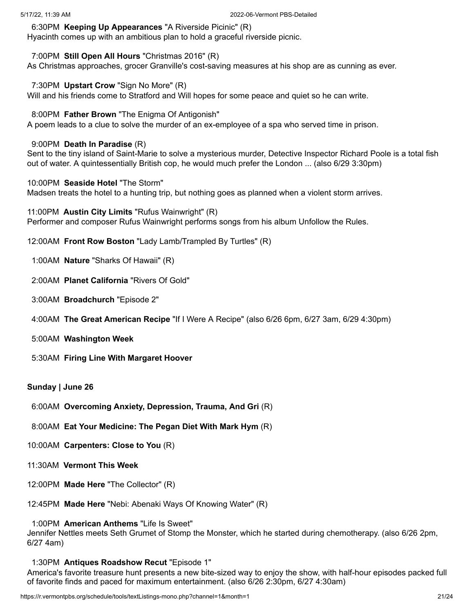6:30PM **Keeping Up Appearances** "A Riverside Picinic" (R)

Hyacinth comes up with an ambitious plan to hold a graceful riverside picnic.

# 7:00PM **Still Open All Hours** "Christmas 2016" (R)

As Christmas approaches, grocer Granville's cost-saving measures at his shop are as cunning as ever.

# 7:30PM **Upstart Crow** "Sign No More" (R)

Will and his friends come to Stratford and Will hopes for some peace and quiet so he can write.

# 8:00PM **Father Brown** "The Enigma Of Antigonish"

A poem leads to a clue to solve the murder of an ex-employee of a spa who served time in prison.

# 9:00PM **Death In Paradise** (R)

Sent to the tiny island of Saint-Marie to solve a mysterious murder, Detective Inspector Richard Poole is a total fish out of water. A quintessentially British cop, he would much prefer the London ... (also 6/29 3:30pm)

# 10:00PM **Seaside Hotel** "The Storm"

Madsen treats the hotel to a hunting trip, but nothing goes as planned when a violent storm arrives.

11:00PM **Austin City Limits** "Rufus Wainwright" (R) Performer and composer Rufus Wainwright performs songs from his album Unfollow the Rules.

- 12:00AM **Front Row Boston** "Lady Lamb/Trampled By Turtles" (R)
- 1:00AM **Nature** "Sharks Of Hawaii" (R)
- 2:00AM **Planet California** "Rivers Of Gold"
- 3:00AM **Broadchurch** "Episode 2"
- 4:00AM **The Great American Recipe** "If I Were A Recipe" (also 6/26 6pm, 6/27 3am, 6/29 4:30pm)
- 5:00AM **Washington Week**
- 5:30AM **Firing Line With Margaret Hoover**

# **Sunday | June 26**

- 6:00AM **Overcoming Anxiety, Depression, Trauma, And Gri** (R)
- 8:00AM **Eat Your Medicine: The Pegan Diet With Mark Hym** (R)
- 10:00AM **Carpenters: Close to You** (R)
- 11:30AM **Vermont This Week**
- 12:00PM **Made Here** "The Collector" (R)
- 12:45PM **Made Here** "Nebi: Abenaki Ways Of Knowing Water" (R)

# 1:00PM **American Anthems** "Life Is Sweet"

Jennifer Nettles meets Seth Grumet of Stomp the Monster, which he started during chemotherapy. (also 6/26 2pm, 6/27 4am)

# 1:30PM **Antiques Roadshow Recut** "Episode 1"

America's favorite treasure hunt presents a new bite-sized way to enjoy the show, with half-hour episodes packed full of favorite finds and paced for maximum entertainment. (also 6/26 2:30pm, 6/27 4:30am)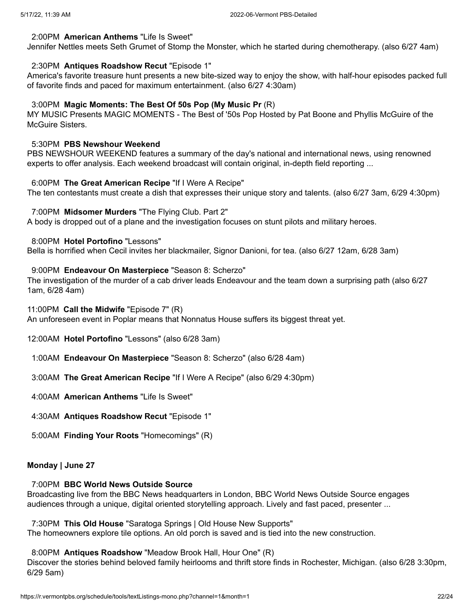### 2:00PM **American Anthems** "Life Is Sweet"

Jennifer Nettles meets Seth Grumet of Stomp the Monster, which he started during chemotherapy. (also 6/27 4am)

# 2:30PM **Antiques Roadshow Recut** "Episode 1"

America's favorite treasure hunt presents a new bite-sized way to enjoy the show, with half-hour episodes packed full of favorite finds and paced for maximum entertainment. (also 6/27 4:30am)

### 3:00PM **Magic Moments: The Best Of 50s Pop (My Music Pr** (R)

MY MUSIC Presents MAGIC MOMENTS - The Best of '50s Pop Hosted by Pat Boone and Phyllis McGuire of the McGuire Sisters.

# 5:30PM **PBS Newshour Weekend**

PBS NEWSHOUR WEEKEND features a summary of the day's national and international news, using renowned experts to offer analysis. Each weekend broadcast will contain original, in-depth field reporting ...

#### 6:00PM **The Great American Recipe** "If I Were A Recipe"

The ten contestants must create a dish that expresses their unique story and talents. (also 6/27 3am, 6/29 4:30pm)

### 7:00PM **Midsomer Murders** "The Flying Club. Part 2"

A body is dropped out of a plane and the investigation focuses on stunt pilots and military heroes.

8:00PM **Hotel Portofino** "Lessons"

Bella is horrified when Cecil invites her blackmailer, Signor Danioni, for tea. (also 6/27 12am, 6/28 3am)

### 9:00PM **Endeavour On Masterpiece** "Season 8: Scherzo"

The investigation of the murder of a cab driver leads Endeavour and the team down a surprising path (also 6/27 1am, 6/28 4am)

#### 11:00PM **Call the Midwife** "Episode 7" (R)

An unforeseen event in Poplar means that Nonnatus House suffers its biggest threat yet.

12:00AM **Hotel Portofino** "Lessons" (also 6/28 3am)

- 1:00AM **Endeavour On Masterpiece** "Season 8: Scherzo" (also 6/28 4am)
- 3:00AM **The Great American Recipe** "If I Were A Recipe" (also 6/29 4:30pm)

4:00AM **American Anthems** "Life Is Sweet"

- 4:30AM **Antiques Roadshow Recut** "Episode 1"
- 5:00AM **Finding Your Roots** "Homecomings" (R)

# **Monday | June 27**

# 7:00PM **BBC World News Outside Source**

Broadcasting live from the BBC News headquarters in London, BBC World News Outside Source engages audiences through a unique, digital oriented storytelling approach. Lively and fast paced, presenter ...

# 7:30PM **This Old House** "Saratoga Springs | Old House New Supports"

The homeowners explore tile options. An old porch is saved and is tied into the new construction.

# 8:00PM **Antiques Roadshow** "Meadow Brook Hall, Hour One" (R)

Discover the stories behind beloved family heirlooms and thrift store finds in Rochester, Michigan. (also 6/28 3:30pm, 6/29 5am)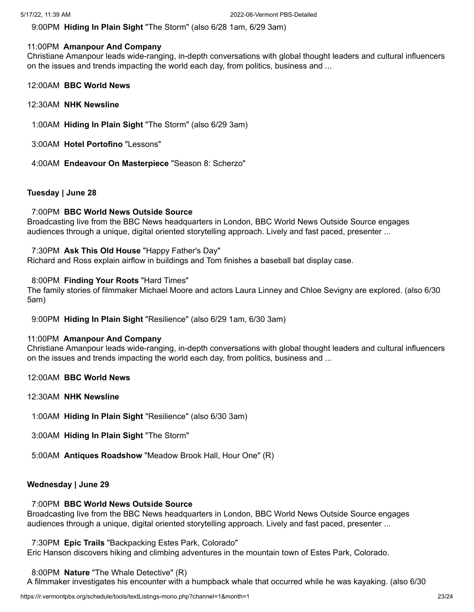9:00PM **Hiding In Plain Sight** "The Storm" (also 6/28 1am, 6/29 3am)

# 11:00PM **Amanpour And Company**

Christiane Amanpour leads wide-ranging, in-depth conversations with global thought leaders and cultural influencers on the issues and trends impacting the world each day, from politics, business and ...

- 12:00AM **BBC World News**
- 12:30AM **NHK Newsline**
- 1:00AM **Hiding In Plain Sight** "The Storm" (also 6/29 3am)
- 3:00AM **Hotel Portofino** "Lessons"
- 4:00AM **Endeavour On Masterpiece** "Season 8: Scherzo"

# **Tuesday | June 28**

# 7:00PM **BBC World News Outside Source**

Broadcasting live from the BBC News headquarters in London, BBC World News Outside Source engages audiences through a unique, digital oriented storytelling approach. Lively and fast paced, presenter ...

# 7:30PM **Ask This Old House** "Happy Father's Day"

Richard and Ross explain airflow in buildings and Tom finishes a baseball bat display case.

# 8:00PM **Finding Your Roots** "Hard Times"

The family stories of filmmaker Michael Moore and actors Laura Linney and Chloe Sevigny are explored. (also 6/30 5am)

9:00PM **Hiding In Plain Sight** "Resilience" (also 6/29 1am, 6/30 3am)

# 11:00PM **Amanpour And Company**

Christiane Amanpour leads wide-ranging, in-depth conversations with global thought leaders and cultural influencers on the issues and trends impacting the world each day, from politics, business and ...

- 12:00AM **BBC World News**
- 12:30AM **NHK Newsline**
- 1:00AM **Hiding In Plain Sight** "Resilience" (also 6/30 3am)
- 3:00AM **Hiding In Plain Sight** "The Storm"
- 5:00AM **Antiques Roadshow** "Meadow Brook Hall, Hour One" (R)

# **Wednesday | June 29**

# 7:00PM **BBC World News Outside Source**

Broadcasting live from the BBC News headquarters in London, BBC World News Outside Source engages audiences through a unique, digital oriented storytelling approach. Lively and fast paced, presenter ...

7:30PM **Epic Trails** "Backpacking Estes Park, Colorado"

Eric Hanson discovers hiking and climbing adventures in the mountain town of Estes Park, Colorado.

# 8:00PM **Nature** "The Whale Detective" (R)

A filmmaker investigates his encounter with a humpback whale that occurred while he was kayaking. (also 6/30